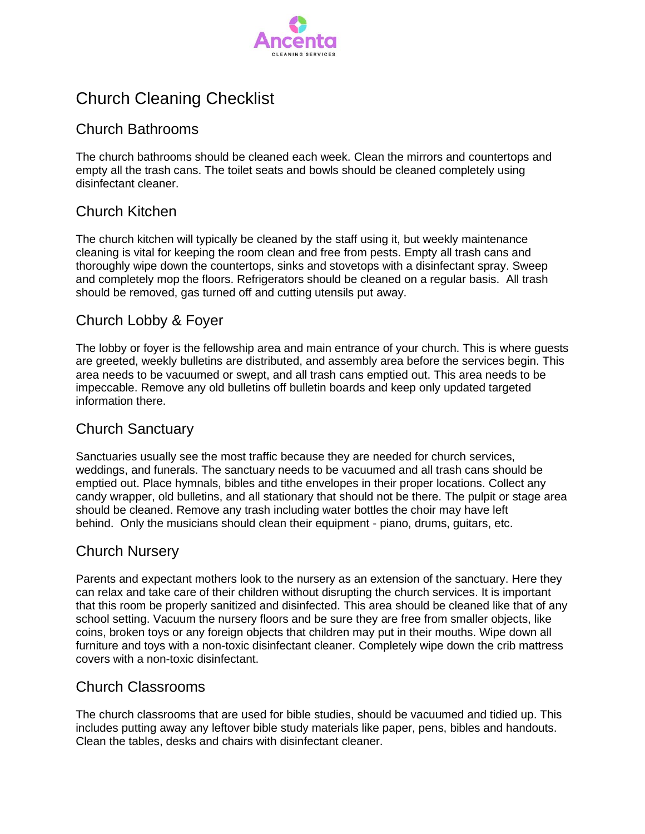

# Church Cleaning Checklist

#### Church Bathrooms

The church bathrooms should be cleaned each week. Clean the mirrors and countertops and empty all the trash cans. The toilet seats and bowls should be cleaned completely using disinfectant cleaner.

### Church Kitchen

The church kitchen will typically be cleaned by the staff using it, but weekly maintenance cleaning is vital for keeping the room clean and free from pests. Empty all trash cans and thoroughly wipe down the countertops, sinks and stovetops with a disinfectant spray. Sweep and completely mop the floors. Refrigerators should be cleaned on a regular basis. All trash should be removed, gas turned off and cutting utensils put away.

### Church Lobby & Foyer

The lobby or foyer is the fellowship area and main entrance of your church. This is where guests are greeted, weekly bulletins are distributed, and assembly area before the services begin. This area needs to be vacuumed or swept, and all trash cans emptied out. This area needs to be impeccable. Remove any old bulletins off bulletin boards and keep only updated targeted information there.

### Church Sanctuary

Sanctuaries usually see the most traffic because they are needed for church services, weddings, and funerals. The sanctuary needs to be vacuumed and all trash cans should be emptied out. Place hymnals, bibles and tithe envelopes in their proper locations. Collect any candy wrapper, old bulletins, and all stationary that should not be there. The pulpit or stage area should be cleaned. Remove any trash including water bottles the choir may have left behind. Only the musicians should clean their equipment - piano, drums, guitars, etc.

### Church Nursery

Parents and expectant mothers look to the nursery as an extension of the sanctuary. Here they can relax and take care of their children without disrupting the church services. It is important that this room be properly sanitized and disinfected. This area should be cleaned like that of any school setting. Vacuum the nursery floors and be sure they are free from smaller objects, like coins, broken toys or any foreign objects that children may put in their mouths. Wipe down all furniture and toys with a non-toxic disinfectant cleaner. Completely wipe down the crib mattress covers with a non-toxic disinfectant.

#### Church Classrooms

The church classrooms that are used for bible studies, should be vacuumed and tidied up. This includes putting away any leftover bible study materials like paper, pens, bibles and handouts. Clean the tables, desks and chairs with disinfectant cleaner.